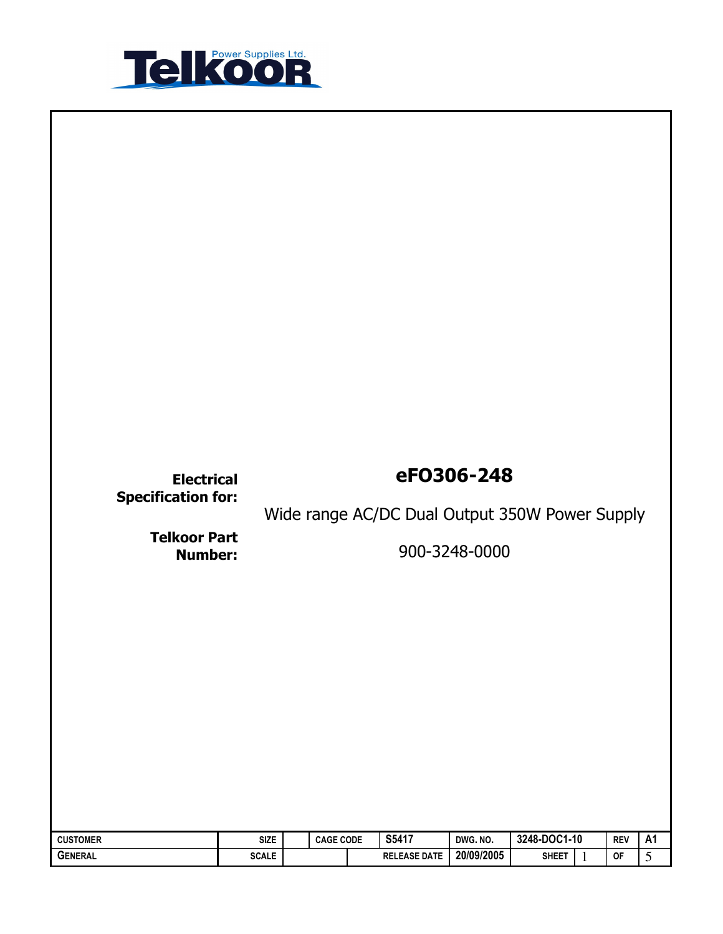

| eF0306-248<br><b>Electrical</b><br><b>Specification for:</b><br>Wide range AC/DC Dual Output 350W Power Supply<br><b>Telkoor Part</b><br>900-3248-0000<br><b>Number:</b>                                                                         |                |
|--------------------------------------------------------------------------------------------------------------------------------------------------------------------------------------------------------------------------------------------------|----------------|
|                                                                                                                                                                                                                                                  |                |
| S5417<br>3248-DOC1-10<br><b>SIZE</b><br><b>CAGE CODE</b><br>DWG. NO.<br><b>CUSTOMER</b><br><b>REV</b><br>20/09/2005<br><b>SCALE</b><br><b>SHEET</b><br><b>GENERAL</b><br><b>RELEASE DATE</b><br>$\mathsf{OF}% _{T}\left( \mathcal{M}_{T}\right)$ | <b>A1</b><br>5 |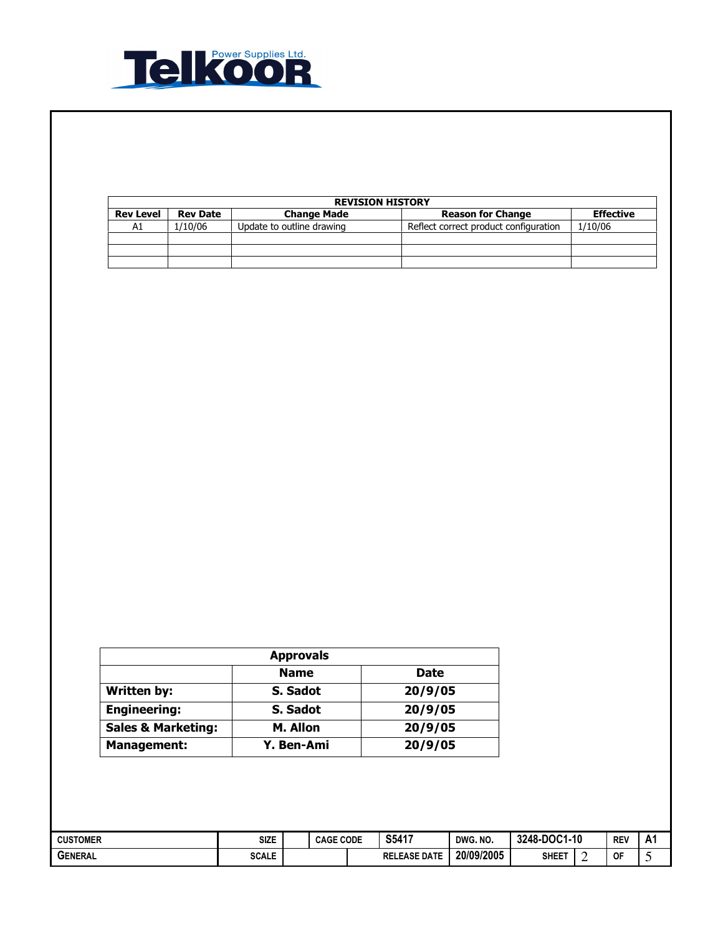

| <b>REVISION HISTORY</b> |                 |                           |                                       |                  |  |  |  |  |  |
|-------------------------|-----------------|---------------------------|---------------------------------------|------------------|--|--|--|--|--|
| <b>Rev Level</b>        | <b>Rev Date</b> | <b>Change Made</b>        | <b>Reason for Change</b>              | <b>Effective</b> |  |  |  |  |  |
| A1                      | 1/10/06         | Update to outline drawing | Reflect correct product configuration | 1/10/06          |  |  |  |  |  |
|                         |                 |                           |                                       |                  |  |  |  |  |  |
|                         |                 |                           |                                       |                  |  |  |  |  |  |
|                         |                 |                           |                                       |                  |  |  |  |  |  |

| <b>Approvals</b>              |             |             |  |  |  |  |  |  |  |
|-------------------------------|-------------|-------------|--|--|--|--|--|--|--|
|                               | <b>Name</b> | <b>Date</b> |  |  |  |  |  |  |  |
| <b>Written by:</b>            | S. Sadot    | 20/9/05     |  |  |  |  |  |  |  |
| <b>Engineering:</b>           | S. Sadot    | 20/9/05     |  |  |  |  |  |  |  |
| <b>Sales &amp; Marketing:</b> | M. Allon    | 20/9/05     |  |  |  |  |  |  |  |
| <b>Management:</b>            | Y. Ben-Ami  | 20/9/05     |  |  |  |  |  |  |  |

| <b>CUSTOMER</b> | SIZE         | <b>CAGE CODE</b> |  | S5417               | DWG. NO.   | 3248-DOC1-<br>:1-10 |  | <b>REV</b> | A1 |
|-----------------|--------------|------------------|--|---------------------|------------|---------------------|--|------------|----|
| <b>GENERAL</b>  | <b>SCALE</b> |                  |  | <b>RELEASE DATE</b> | 20/09/2005 | <b>SHEET</b>        |  | 0F         |    |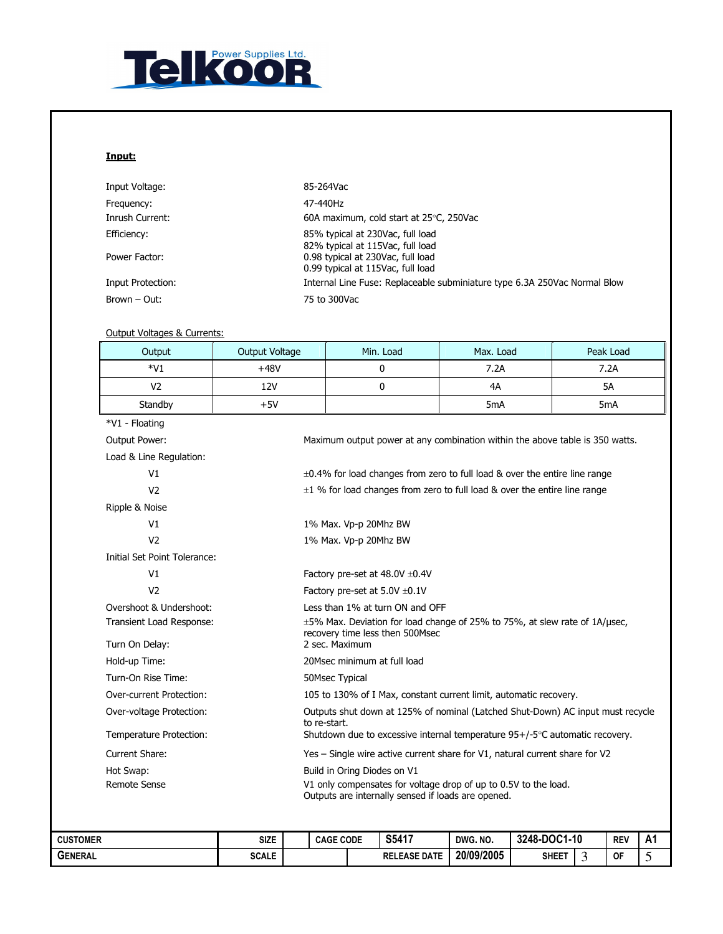

## Input:

| Input Voltage:    | 85-264Vac                                                                 |
|-------------------|---------------------------------------------------------------------------|
| Frequency:        | 47-440Hz                                                                  |
| Inrush Current:   | 60A maximum, cold start at $25^{\circ}$ C, 250Vac                         |
| Efficiency:       | 85% typical at 230Vac, full load<br>82% typical at 115Vac, full load      |
| Power Factor:     | 0.98 typical at 230Vac, full load<br>0.99 typical at 115Vac, full load    |
| Input Protection: | Internal Line Fuse: Replaceable subminiature type 6.3A 250Vac Normal Blow |
| Brown – Out:      | 75 to 300Vac                                                              |
|                   |                                                                           |

### Output Voltages & Currents:

| Output                          | Output Voltage                                                                                                        |                                                                                                                                                     |  | Min. Load           | Max. Load        |              |   | Peak Load  |    |  |
|---------------------------------|-----------------------------------------------------------------------------------------------------------------------|-----------------------------------------------------------------------------------------------------------------------------------------------------|--|---------------------|------------------|--------------|---|------------|----|--|
| $*V1$                           | $+48V$                                                                                                                | 0<br>7.2A<br>7.2A                                                                                                                                   |  |                     |                  |              |   |            |    |  |
| V <sub>2</sub>                  | <b>12V</b>                                                                                                            |                                                                                                                                                     |  | 0                   | 4A               |              |   | 5A         |    |  |
| Standby                         | $+5V$                                                                                                                 |                                                                                                                                                     |  |                     | 5 <sub>m</sub> A |              |   | 5mA        |    |  |
| *V1 - Floating                  |                                                                                                                       |                                                                                                                                                     |  |                     |                  |              |   |            |    |  |
| Output Power:                   |                                                                                                                       | Maximum output power at any combination within the above table is 350 watts.                                                                        |  |                     |                  |              |   |            |    |  |
| Load & Line Regulation:         |                                                                                                                       |                                                                                                                                                     |  |                     |                  |              |   |            |    |  |
| V <sub>1</sub>                  |                                                                                                                       | $\pm 0.4\%$ for load changes from zero to full load & over the entire line range                                                                    |  |                     |                  |              |   |            |    |  |
| V <sub>2</sub>                  |                                                                                                                       | $\pm 1$ % for load changes from zero to full load & over the entire line range                                                                      |  |                     |                  |              |   |            |    |  |
| Ripple & Noise                  |                                                                                                                       |                                                                                                                                                     |  |                     |                  |              |   |            |    |  |
| V1                              |                                                                                                                       | 1% Max. Vp-p 20Mhz BW                                                                                                                               |  |                     |                  |              |   |            |    |  |
| V <sub>2</sub>                  |                                                                                                                       | 1% Max. Vp-p 20Mhz BW                                                                                                                               |  |                     |                  |              |   |            |    |  |
| Initial Set Point Tolerance:    |                                                                                                                       |                                                                                                                                                     |  |                     |                  |              |   |            |    |  |
| V1                              |                                                                                                                       | Factory pre-set at $48.0V \pm 0.4V$                                                                                                                 |  |                     |                  |              |   |            |    |  |
| V <sub>2</sub>                  |                                                                                                                       | Factory pre-set at $5.0V \pm 0.1V$                                                                                                                  |  |                     |                  |              |   |            |    |  |
| Overshoot & Undershoot:         |                                                                                                                       | Less than 1% at turn ON and OFF                                                                                                                     |  |                     |                  |              |   |            |    |  |
| Transient Load Response:        |                                                                                                                       | ±5% Max. Deviation for load change of 25% to 75%, at slew rate of 1A/µsec,<br>recovery time less then 500Msec<br>2 sec. Maximum                     |  |                     |                  |              |   |            |    |  |
| Turn On Delay:<br>Hold-up Time: |                                                                                                                       | 20Msec minimum at full load                                                                                                                         |  |                     |                  |              |   |            |    |  |
| Turn-On Rise Time:              |                                                                                                                       | <b>50Msec Typical</b>                                                                                                                               |  |                     |                  |              |   |            |    |  |
| Over-current Protection:        |                                                                                                                       |                                                                                                                                                     |  |                     |                  |              |   |            |    |  |
| Over-voltage Protection:        |                                                                                                                       | 105 to 130% of I Max, constant current limit, automatic recovery.<br>Outputs shut down at 125% of nominal (Latched Shut-Down) AC input must recycle |  |                     |                  |              |   |            |    |  |
| Temperature Protection:         |                                                                                                                       | to re-start.<br>Shutdown due to excessive internal temperature 95+/-5°C automatic recovery.                                                         |  |                     |                  |              |   |            |    |  |
| Current Share:                  |                                                                                                                       | Yes - Single wire active current share for V1, natural current share for V2                                                                         |  |                     |                  |              |   |            |    |  |
| Hot Swap:                       |                                                                                                                       | Build in Oring Diodes on V1                                                                                                                         |  |                     |                  |              |   |            |    |  |
| <b>Remote Sense</b>             | V1 only compensates for voltage drop of up to 0.5V to the load.<br>Outputs are internally sensed if loads are opened. |                                                                                                                                                     |  |                     |                  |              |   |            |    |  |
| <b>CUSTOMER</b>                 | <b>SIZE</b>                                                                                                           | <b>CAGE CODE</b>                                                                                                                                    |  | S5417               | DWG. NO.         | 3248-DOC1-10 |   | <b>REV</b> | A1 |  |
| <b>GENERAL</b>                  | <b>SCALE</b>                                                                                                          |                                                                                                                                                     |  | <b>RELEASE DATE</b> | 20/09/2005       | <b>SHEET</b> | 3 | <b>OF</b>  | 5  |  |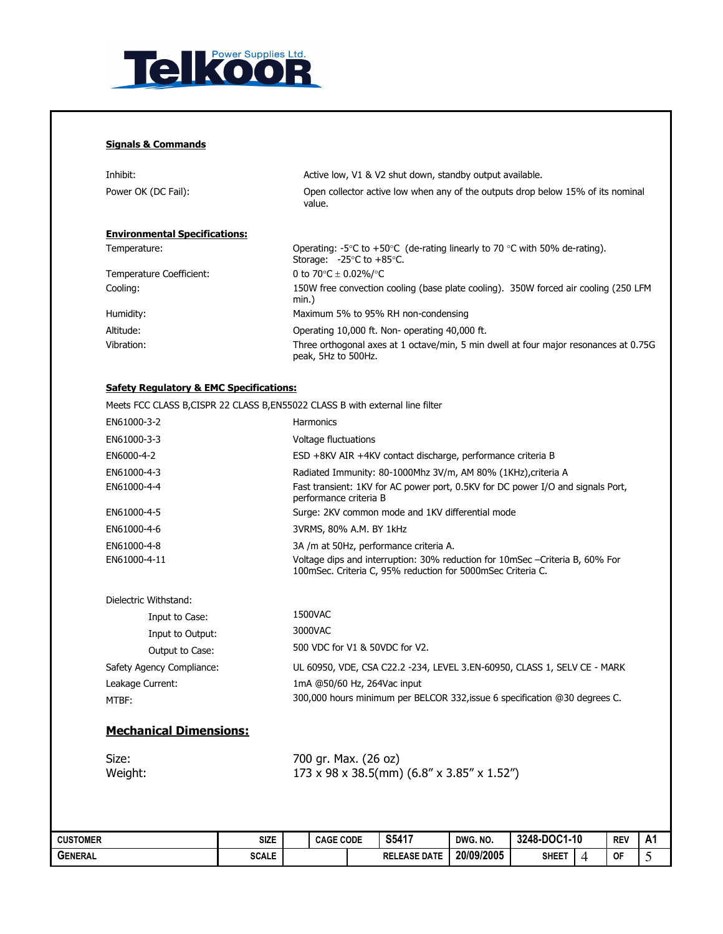

# Signals & Commands

| Inhibit:<br>Power OK (DC Fail):      | Active low, V1 & V2 shut down, standby output available.<br>Open collector active low when any of the outputs drop below 15% of its nominal<br>value.   |
|--------------------------------------|---------------------------------------------------------------------------------------------------------------------------------------------------------|
| <b>Environmental Specifications:</b> |                                                                                                                                                         |
| Temperature:                         | Operating: -5 $\degree$ C to +50 $\degree$ C (de-rating linearly to 70 $\degree$ C with 50% de-rating).<br>Storage: $-25^{\circ}$ C to $+85^{\circ}$ C. |
| Temperature Coefficient:             | 0 to 70 $\degree$ C $\pm$ 0.02%/ $\degree$ C                                                                                                            |
| Cooling:                             | 150W free convection cooling (base plate cooling). 350W forced air cooling (250 LFM<br>min.)                                                            |
| Humidity:                            | Maximum 5% to 95% RH non-condensing                                                                                                                     |
| Altitude:                            | Operating 10,000 ft. Non-operating 40,000 ft.                                                                                                           |
| Vibration:                           | Three orthogonal axes at 1 octave/min, 5 min dwell at four major resonances at 0.75G<br>peak, 5Hz to 500Hz.                                             |

#### Safety Regulatory & EMC Specifications:

Meets FCC CLASS B CISPR 22 CLASS B, EN55022 CLASS B with external line filt

| Meets FCC CLASS B,CISPR 22 CLASS B,EN55022 CLASS B with external line filter |                                                                                                                                             |
|------------------------------------------------------------------------------|---------------------------------------------------------------------------------------------------------------------------------------------|
| EN61000-3-2                                                                  | Harmonics                                                                                                                                   |
| EN61000-3-3                                                                  | Voltage fluctuations                                                                                                                        |
| EN6000-4-2                                                                   | ESD +8KV AIR +4KV contact discharge, performance criteria B                                                                                 |
| EN61000-4-3                                                                  | Radiated Immunity: 80-1000Mhz 3V/m, AM 80% (1KHz), criteria A                                                                               |
| EN61000-4-4                                                                  | Fast transient: 1KV for AC power port, 0.5KV for DC power I/O and signals Port,<br>performance criteria B                                   |
| EN61000-4-5                                                                  | Surge: 2KV common mode and 1KV differential mode                                                                                            |
| EN61000-4-6                                                                  | 3VRMS, 80% A.M. BY 1kHz                                                                                                                     |
| EN61000-4-8                                                                  | 3A /m at 50Hz, performance criteria A.                                                                                                      |
| EN61000-4-11                                                                 | Voltage dips and interruption: 30% reduction for 10mSec –Criteria B, 60% For<br>100mSec. Criteria C, 95% reduction for 5000mSec Criteria C. |
| Dielectric Withstand:                                                        |                                                                                                                                             |
| Input to Case:                                                               | 1500VAC                                                                                                                                     |
| Input to Output:                                                             | 3000VAC                                                                                                                                     |
| Output to Case:                                                              | 500 VDC for V1 & 50VDC for V2.                                                                                                              |
| Safety Agency Compliance:                                                    | UL 60950, VDE, CSA C22.2 -234, LEVEL 3.EN-60950, CLASS 1, SELV CE - MARK                                                                    |
| Leakage Current:                                                             | 1mA @50/60 Hz, 264Vac input                                                                                                                 |
| MTBF:                                                                        | 300,000 hours minimum per BELCOR 332, issue 6 specification @30 degrees C.                                                                  |

# Mechanical Dimensions:

| Size:   | 700 gr. Max. (26 oz)                       |
|---------|--------------------------------------------|
| Weight: | 173 x 98 x 38.5(mm) (6.8" x 3.85" x 1.52") |

| <b>CUSTOMER</b> | Size         | : CODE<br><b>CAGE</b> |  | S5417               | DWG. NO.   | 3248-DOC1-10 |  | <b>REV</b> | A 1<br>n i |
|-----------------|--------------|-----------------------|--|---------------------|------------|--------------|--|------------|------------|
| <b>GENERAL</b>  | <b>SCALE</b> |                       |  | <b>RELEASE DATE</b> | 20/09/2005 | <b>SHEET</b> |  | <b>OF</b>  |            |